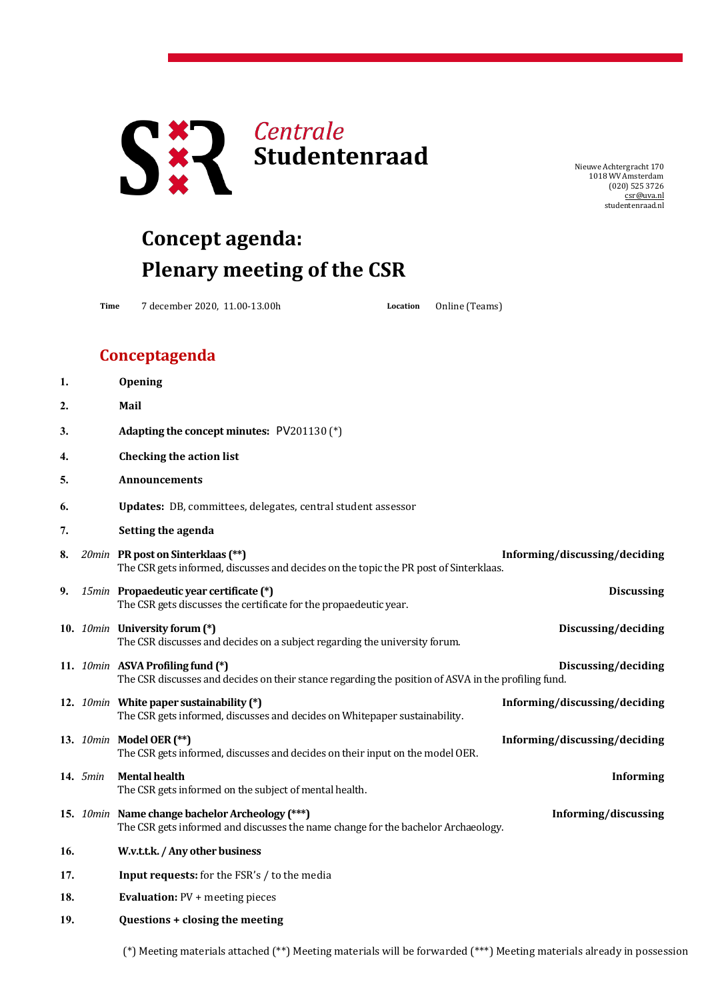

NieuweAchtergracht 170 1018 WV Amsterdam (020) 525 3726 [csr@uva.nl](mailto:csr@uva.nl) studentenraad.nl

## **Concept agenda: Plenary meeting of the CSR**

**Time** 7 december 2020, 11.00-13.00h **Location** Online (Teams)

## **Conceptagenda**

| 1.  |          | Opening                                                                                                                                  |                               |
|-----|----------|------------------------------------------------------------------------------------------------------------------------------------------|-------------------------------|
| 2.  |          | Mail                                                                                                                                     |                               |
| 3.  |          | Adapting the concept minutes: PV201130 (*)                                                                                               |                               |
| 4.  |          | <b>Checking the action list</b>                                                                                                          |                               |
| 5.  |          | Announcements                                                                                                                            |                               |
| 6.  |          | Updates: DB, committees, delegates, central student assessor                                                                             |                               |
| 7.  |          | Setting the agenda                                                                                                                       |                               |
| 8.  |          | 20min PR post on Sinterklaas (**)<br>The CSR gets informed, discusses and decides on the topic the PR post of Sinterklaas.               | Informing/discussing/deciding |
| 9.  |          | 15min Propaedeutic year certificate (*)<br>The CSR gets discusses the certificate for the propaedeutic year.                             | <b>Discussing</b>             |
|     |          | 10. 10min University forum (*)<br>The CSR discusses and decides on a subject regarding the university forum.                             | Discussing/deciding           |
|     |          | 11. 10min ASVA Profiling fund (*)<br>The CSR discusses and decides on their stance regarding the position of ASVA in the profiling fund. | Discussing/deciding           |
|     |          | 12. 10min White paper sustainability (*)<br>The CSR gets informed, discusses and decides on Whitepaper sustainability.                   | Informing/discussing/deciding |
|     |          | 13. 10min Model OER (**)<br>The CSR gets informed, discusses and decides on their input on the model OER.                                | Informing/discussing/deciding |
|     | 14. 5min | <b>Mental health</b><br>The CSR gets informed on the subject of mental health.                                                           | <b>Informing</b>              |
|     |          | 15. 10min Name change bachelor Archeology (***)<br>The CSR gets informed and discusses the name change for the bachelor Archaeology.     | Informing/discussing          |
| 16. |          | W.v.t.t.k. / Any other business                                                                                                          |                               |
| 17. |          | <b>Input requests:</b> for the FSR's / to the media                                                                                      |                               |
| 18. |          | <b>Evaluation: PV + meeting pieces</b>                                                                                                   |                               |
| 19. |          | Questions + closing the meeting                                                                                                          |                               |
|     |          |                                                                                                                                          |                               |

(\*) Meeting materials attached (\*\*) Meeting materials will be forwarded (\*\*\*) Meeting materials already in possession